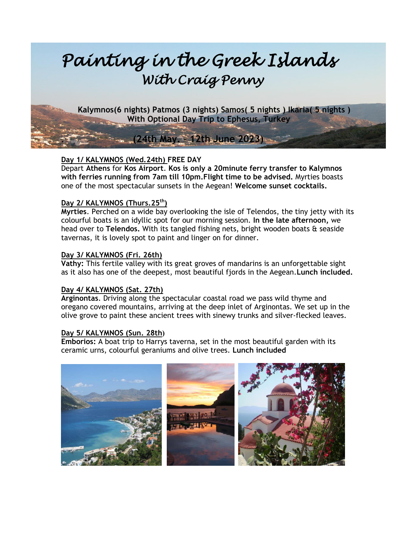# *Painting in the Greek Islands With Craig Penny*

**Kalymnos(6 nights) Patmos (3 nights) Samos( 5 nights ) Ikaria( 5 nights )**  **With Optional Day Trip to Ephesus, Turkey**

# **Day 1/ KALYMNOS (Wed.24th) FREE DAY**

Depart **Athens** for **Kos Airport**. **Kos is only a 20minute ferry transfer to Kalymnos with ferries running from 7am till 10pm.Flight time to be advised.** Myrties boasts one of the most spectacular sunsets in the Aegean! **Welcome sunset cocktails.**

**. (24th May. – 12th June 2023)**

# **Day 2/ KALYMNOS (Thurs.25th)**

**Myrties**. Perched on a wide bay overlooking the isle of Telendos, the tiny jetty with its colourful boats is an idyllic spot for our morning session. **In the late afternoon,** we head over to **Telendos.** With its tangled fishing nets, bright wooden boats & seaside tavernas, it is lovely spot to paint and linger on for dinner.

# **Day 3/ KALYMNOS (Fri. 26th)**

**Vathy:** This fertile valley with its great groves of mandarins is an unforgettable sight as it also has one of the deepest, most beautiful fjords in the Aegean.**Lunch included.**

#### **Day 4/ KALYMNOS (Sat. 27th)**

**Arginontas**. Driving along the spectacular coastal road we pass wild thyme and oregano covered mountains, arriving at the deep inlet of Arginontas. We set up in the olive grove to paint these ancient trees with sinewy trunks and silver-flecked leaves.

#### **Day 5/ KALYMNOS (Sun. 28th)**

**Emborios:** A boat trip to Harrys taverna, set in the most beautiful garden with its ceramic urns, colourful geraniums and olive trees. **Lunch included**

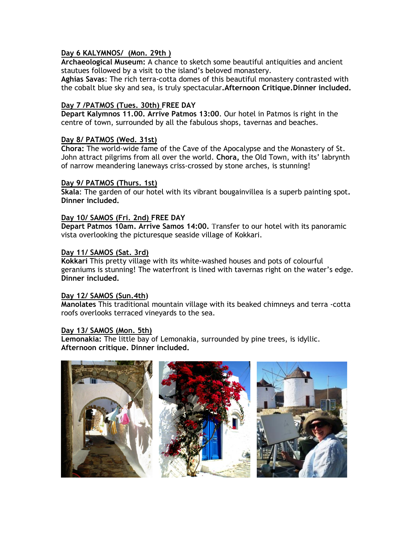## **Day 6 KALYMNOS/ (Mon. 29th )**

**Archaeological Museum:** A chance to sketch some beautiful antiquities and ancient stautues followed by a visit to the island's beloved monastery.

**Aghias Savas**: The rich terra-cotta domes of this beautiful monastery contrasted with the cobalt blue sky and sea, is truly spectacular**.Afternoon Critique.Dinner included.**

## **Day 7 /PATMOS (Tues. 30th) FREE DAY**

**Depart Kalymnos 11.00. Arrive Patmos 13:00**. Our hotel in Patmos is right in the centre of town, surrounded by all the fabulous shops, tavernas and beaches.

## **Day 8/ PATMOS (Wed. 31st)**

**Chora:** The world-wide fame of the Cave of the Apocalypse and the Monastery of St. John attract pilgrims from all over the world. **Chora,** the Old Town, with its' labrynth of narrow meandering laneways criss-crossed by stone arches, is stunning!

#### **Day 9/ PATMOS (Thurs. 1st)**

**Skala**: The garden of our hotel with its vibrant bougainvillea is a superb painting spot**. Dinner included.**

#### **Day 10/ SAMOS (Fri. 2nd) FREE DAY**

**Depart Patmos 10am. Arrive Samos 14:00.** Transfer to our hotel with its panoramic vista overlooking the picturesque seaside village of Kokkari.

#### **Day 11/ SAMOS (Sat. 3rd)**

**Kokkari** This pretty village with its white-washed houses and pots of colourful geraniums is stunning! The waterfront is lined with tavernas right on the water's edge. **Dinner included.**

#### **Day 12/ SAMOS (Sun.4th)**

**Manolates** This traditional mountain village with its beaked chimneys and terra -cotta roofs overlooks terraced vineyards to the sea.

#### **Day 13/ SAMOS (Mon. 5th)**

**Lemonakia:** The little bay of Lemonakia, surrounded by pine trees, is idyllic. **Afternoon critique. Dinner included.**